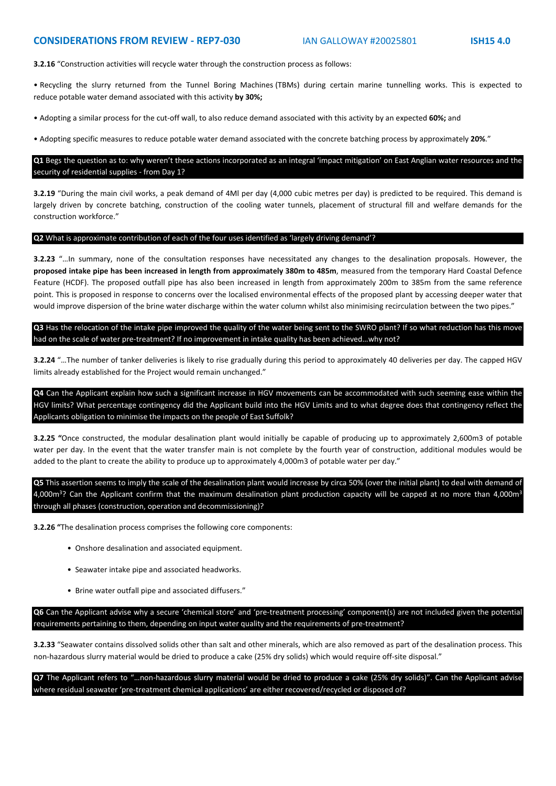# **CONSIDERATIONS FROM REVIEW - REP7-030** IAN GALLOWAY #20025801 **ISH15 4.0**

**3.2.16** "Construction activities will recycle water through the construction process as follows:

• Recycling the slurry returned from the Tunnel Boring Machines (TBMs) during certain marine tunnelling works. This is expected to reduce potable water demand associated with this activity **by 30%;**

• Adopting a similar process for the cut-off wall, to also reduce demand associated with this activity by an expected **60%;** and

• Adopting specific measures to reduce potable water demand associated with the concrete batching process by approximately **20%**."

**Q1** Begs the question as to: why weren't these actions incorporated as an integral 'impact mitigation' on East Anglian water resources and the security of residential supplies - from Day 1?

**3.2.19** "During the main civil works, a peak demand of 4Ml per day (4,000 cubic metres per day) is predicted to be required. This demand is largely driven by concrete batching, construction of the cooling water tunnels, placement of structural fill and welfare demands for the construction workforce."

#### **Q2** What is approximate contribution of each of the four uses identified as 'largely driving demand'?

**3.2.23** "…In summary, none of the consultation responses have necessitated any changes to the desalination proposals. However, the **proposed intake pipe has been increased in length from approximately 380m to 485m**, measured from the temporary Hard Coastal Defence Feature (HCDF). The proposed outfall pipe has also been increased in length from approximately 200m to 385m from the same reference point. This is proposed in response to concerns over the localised environmental effects of the proposed plant by accessing deeper water that would improve dispersion of the brine water discharge within the water column whilst also minimising recirculation between the two pipes."

**Q3** Has the relocation of the intake pipe improved the quality of the water being sent to the SWRO plant? If so what reduction has this move had on the scale of water pre-treatment? If no improvement in intake quality has been achieved…why not?

**3.2.24** "…The number of tanker deliveries is likely to rise gradually during this period to approximately 40 deliveries per day. The capped HGV limits already established for the Project would remain unchanged."

**Q4** Can the Applicant explain how such a significant increase in HGV movements can be accommodated with such seeming ease within the HGV limits? What percentage contingency did the Applicant build into the HGV Limits and to what degree does that contingency reflect the Applicants obligation to minimise the impacts on the people of East Suffolk?

**3.2.25 "**Once constructed, the modular desalination plant would initially be capable of producing up to approximately 2,600m3 of potable water per day. In the event that the water transfer main is not complete by the fourth year of construction, additional modules would be added to the plant to create the ability to produce up to approximately 4,000m3 of potable water per day."

**Q5** This assertion seems to imply the scale of the desalination plant would increase by circa 50% (over the initial plant) to deal with demand of 4,000m<sup>3</sup>? Can the Applicant confirm that the maximum desalination plant production capacity will be capped at no more than 4,000m<sup>3</sup> through all phases (construction, operation and decommissioning)?

**3.2.26 "**The desalination process comprises the following core components:

- Onshore desalination and associated equipment.
- Seawater intake pipe and associated headworks.
- Brine water outfall pipe and associated diffusers."

**Q6** Can the Applicant advise why a secure 'chemical store' and 'pre-treatment processing' component(s) are not included given the potential requirements pertaining to them, depending on input water quality and the requirements of pre-treatment?

**3.2.33** "Seawater contains dissolved solids other than salt and other minerals, which are also removed as part of the desalination process. This non-hazardous slurry material would be dried to produce a cake (25% dry solids) which would require off-site disposal."

**Q7** The Applicant refers to "…non-hazardous slurry material would be dried to produce a cake (25% dry solids)". Can the Applicant advise where residual seawater 'pre-treatment chemical applications' are either recovered/recycled or disposed of?